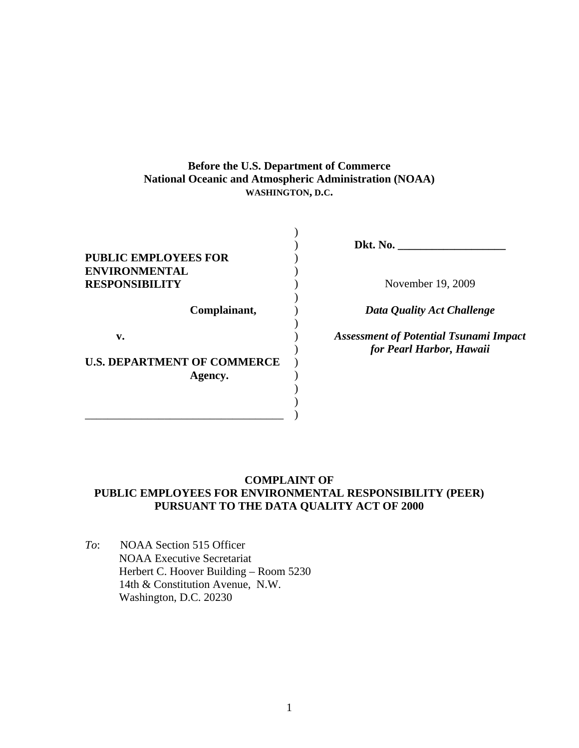# **Before the U.S. Department of Commerce National Oceanic and Atmospheric Administration (NOAA) WASHINGTON, D.C.**

) ) ) ) ) ) ) ) ) ) ) ) ) ) )

| <b>PUBLIC EMPLOYEES FOR</b><br><b>ENVIRONMENTAL</b> |
|-----------------------------------------------------|
| <b>RESPONSIBILITY</b>                               |
| Complainant,                                        |
| v.                                                  |
| <b>U.S. DEPARTMENT OF COMMERCE</b><br>Agency.       |
|                                                     |

**Dkt. No. \_\_\_\_\_\_\_\_\_\_\_\_\_\_\_\_\_\_\_** 

November 19, 2009

*Data Quality Act Challenge* 

*Assessment of Potential Tsunami Impact for Pearl Harbor, Hawaii* 

# **COMPLAINT OF PUBLIC EMPLOYEES FOR ENVIRONMENTAL RESPONSIBILITY (PEER) PURSUANT TO THE DATA QUALITY ACT OF 2000**

*To*: NOAA Section 515 Officer NOAA Executive Secretariat Herbert C. Hoover Building – Room 5230 14th & Constitution Avenue, N.W. Washington, D.C. 20230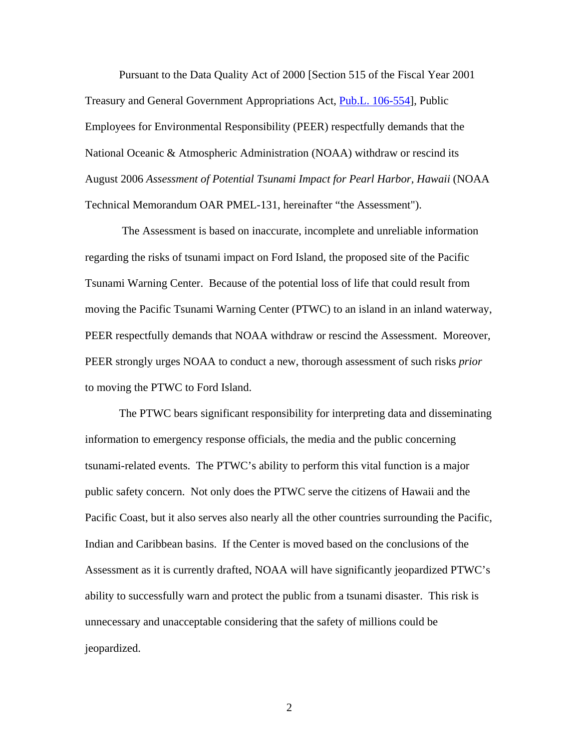Pursuant to the Data Quality Act of 2000 [Section 515 of the Fiscal Year 2001 Treasury and General Government Appropriations Act, [Pub.L. 106-554\]](http://www.gpo.gov/fdsys/pkg/PLAW-106publ554/content-detail.html), Public Employees for Environmental Responsibility (PEER) respectfully demands that the National Oceanic & Atmospheric Administration (NOAA) withdraw or rescind its August 2006 *Assessment of Potential Tsunami Impact for Pearl Harbor, Hawaii* (NOAA Technical Memorandum OAR PMEL-131, hereinafter "the Assessment").

 The Assessment is based on inaccurate, incomplete and unreliable information regarding the risks of tsunami impact on Ford Island, the proposed site of the Pacific Tsunami Warning Center. Because of the potential loss of life that could result from moving the Pacific Tsunami Warning Center (PTWC) to an island in an inland waterway, PEER respectfully demands that NOAA withdraw or rescind the Assessment. Moreover, PEER strongly urges NOAA to conduct a new, thorough assessment of such risks *prior* to moving the PTWC to Ford Island.

The PTWC bears significant responsibility for interpreting data and disseminating information to emergency response officials, the media and the public concerning tsunami-related events. The PTWC's ability to perform this vital function is a major public safety concern. Not only does the PTWC serve the citizens of Hawaii and the Pacific Coast, but it also serves also nearly all the other countries surrounding the Pacific, Indian and Caribbean basins. If the Center is moved based on the conclusions of the Assessment as it is currently drafted, NOAA will have significantly jeopardized PTWC's ability to successfully warn and protect the public from a tsunami disaster. This risk is unnecessary and unacceptable considering that the safety of millions could be jeopardized.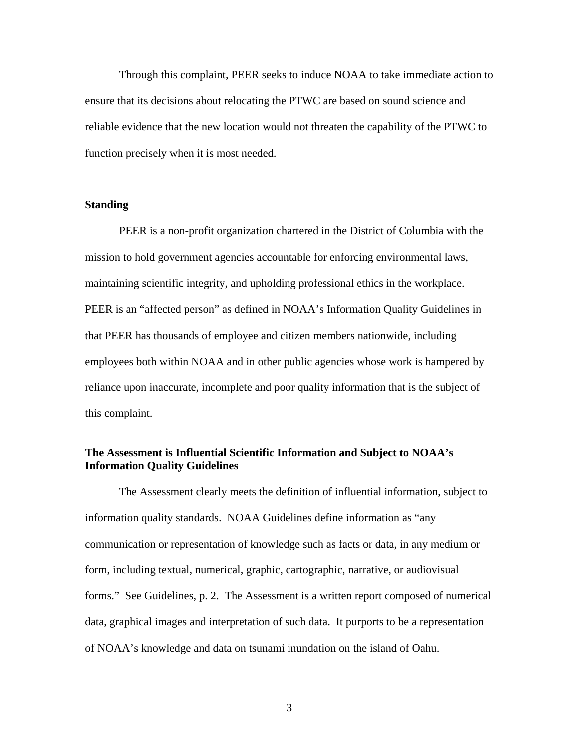Through this complaint, PEER seeks to induce NOAA to take immediate action to ensure that its decisions about relocating the PTWC are based on sound science and reliable evidence that the new location would not threaten the capability of the PTWC to function precisely when it is most needed.

### **Standing**

PEER is a non-profit organization chartered in the District of Columbia with the mission to hold government agencies accountable for enforcing environmental laws, maintaining scientific integrity, and upholding professional ethics in the workplace. PEER is an "affected person" as defined in NOAA's Information Quality Guidelines in that PEER has thousands of employee and citizen members nationwide, including employees both within NOAA and in other public agencies whose work is hampered by reliance upon inaccurate, incomplete and poor quality information that is the subject of this complaint.

# **The Assessment is Influential Scientific Information and Subject to NOAA's Information Quality Guidelines**

The Assessment clearly meets the definition of influential information, subject to information quality standards. NOAA Guidelines define information as "any communication or representation of knowledge such as facts or data, in any medium or form, including textual, numerical, graphic, cartographic, narrative, or audiovisual forms." See Guidelines, p. 2. The Assessment is a written report composed of numerical data, graphical images and interpretation of such data. It purports to be a representation of NOAA's knowledge and data on tsunami inundation on the island of Oahu.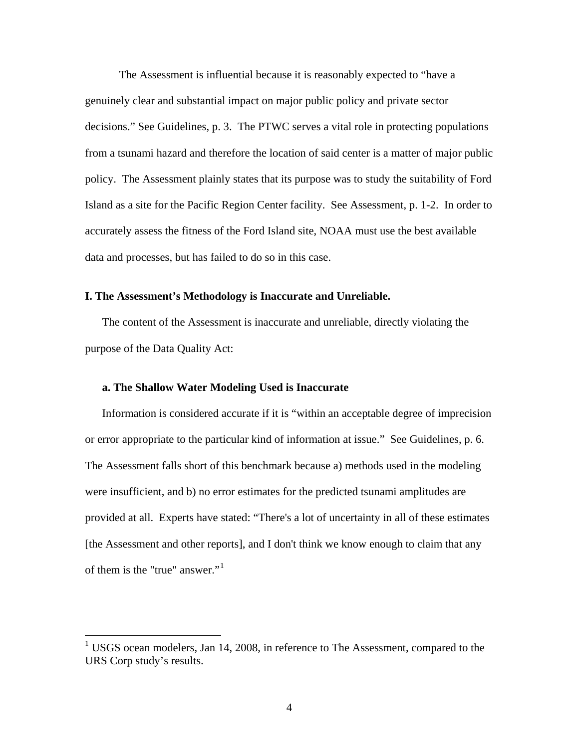The Assessment is influential because it is reasonably expected to "have a genuinely clear and substantial impact on major public policy and private sector decisions." See Guidelines, p. 3. The PTWC serves a vital role in protecting populations from a tsunami hazard and therefore the location of said center is a matter of major public policy. The Assessment plainly states that its purpose was to study the suitability of Ford Island as a site for the Pacific Region Center facility. See Assessment, p. 1-2. In order to accurately assess the fitness of the Ford Island site, NOAA must use the best available data and processes, but has failed to do so in this case.

#### **I. The Assessment's Methodology is Inaccurate and Unreliable.**

The content of the Assessment is inaccurate and unreliable, directly violating the purpose of the Data Quality Act:

#### **a. The Shallow Water Modeling Used is Inaccurate**

 $\overline{a}$ 

Information is considered accurate if it is "within an acceptable degree of imprecision or error appropriate to the particular kind of information at issue." See Guidelines, p. 6. The Assessment falls short of this benchmark because a) methods used in the modeling were insufficient, and b) no error estimates for the predicted tsunami amplitudes are provided at all. Experts have stated: "There's a lot of uncertainty in all of these estimates [the Assessment and other reports], and I don't think we know enough to claim that any of them is the "true" answer."<sup>[1](#page-3-0)</sup>

<span id="page-3-0"></span><sup>1</sup> USGS ocean modelers, Jan 14, 2008, in reference to The Assessment, compared to the URS Corp study's results.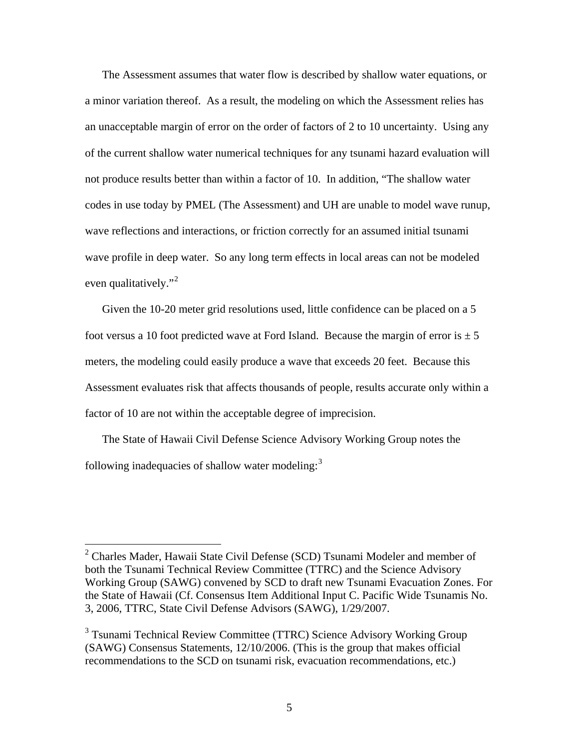The Assessment assumes that water flow is described by shallow water equations, or a minor variation thereof. As a result, the modeling on which the Assessment relies has an unacceptable margin of error on the order of factors of 2 to 10 uncertainty. Using any of the current shallow water numerical techniques for any tsunami hazard evaluation will not produce results better than within a factor of 10. In addition, "The shallow water codes in use today by PMEL (The Assessment) and UH are unable to model wave runup, wave reflections and interactions, or friction correctly for an assumed initial tsunami wave profile in deep water. So any long term effects in local areas can not be modeled even qualitatively."<sup>[2](#page-4-0)</sup>

Given the 10-20 meter grid resolutions used, little confidence can be placed on a 5 foot versus a 10 foot predicted wave at Ford Island. Because the margin of error is  $\pm$  5 meters, the modeling could easily produce a wave that exceeds 20 feet. Because this Assessment evaluates risk that affects thousands of people, results accurate only within a factor of 10 are not within the acceptable degree of imprecision.

The State of Hawaii Civil Defense Science Advisory Working Group notes the following inadequacies of shallow water modeling: $3$ 

 $\overline{a}$ 

<span id="page-4-0"></span><sup>&</sup>lt;sup>2</sup> Charles Mader, Hawaii State Civil Defense (SCD) Tsunami Modeler and member of both the Tsunami Technical Review Committee (TTRC) and the Science Advisory Working Group (SAWG) convened by SCD to draft new Tsunami Evacuation Zones. For the State of Hawaii (Cf. Consensus Item Additional Input C. Pacific Wide Tsunamis No. 3, 2006, TTRC, State Civil Defense Advisors (SAWG), 1/29/2007.

<span id="page-4-1"></span><sup>&</sup>lt;sup>3</sup> Tsunami Technical Review Committee (TTRC) Science Advisory Working Group (SAWG) Consensus Statements, 12/10/2006. (This is the group that makes official recommendations to the SCD on tsunami risk, evacuation recommendations, etc.)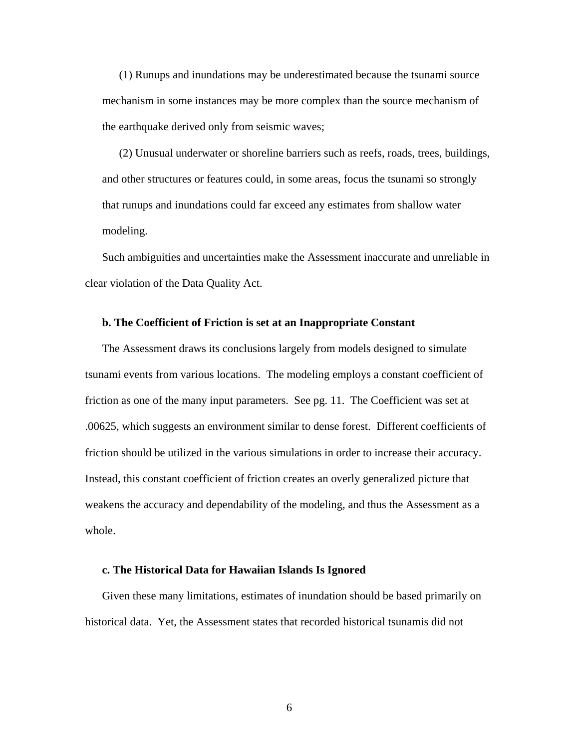(1) Runups and inundations may be underestimated because the tsunami source mechanism in some instances may be more complex than the source mechanism of the earthquake derived only from seismic waves;

(2) Unusual underwater or shoreline barriers such as reefs, roads, trees, buildings, and other structures or features could, in some areas, focus the tsunami so strongly that runups and inundations could far exceed any estimates from shallow water modeling.

Such ambiguities and uncertainties make the Assessment inaccurate and unreliable in clear violation of the Data Quality Act.

#### **b. The Coefficient of Friction is set at an Inappropriate Constant**

The Assessment draws its conclusions largely from models designed to simulate tsunami events from various locations. The modeling employs a constant coefficient of friction as one of the many input parameters. See pg. 11. The Coefficient was set at .00625, which suggests an environment similar to dense forest. Different coefficients of friction should be utilized in the various simulations in order to increase their accuracy. Instead, this constant coefficient of friction creates an overly generalized picture that weakens the accuracy and dependability of the modeling, and thus the Assessment as a whole.

#### **c. The Historical Data for Hawaiian Islands Is Ignored**

Given these many limitations, estimates of inundation should be based primarily on historical data. Yet, the Assessment states that recorded historical tsunamis did not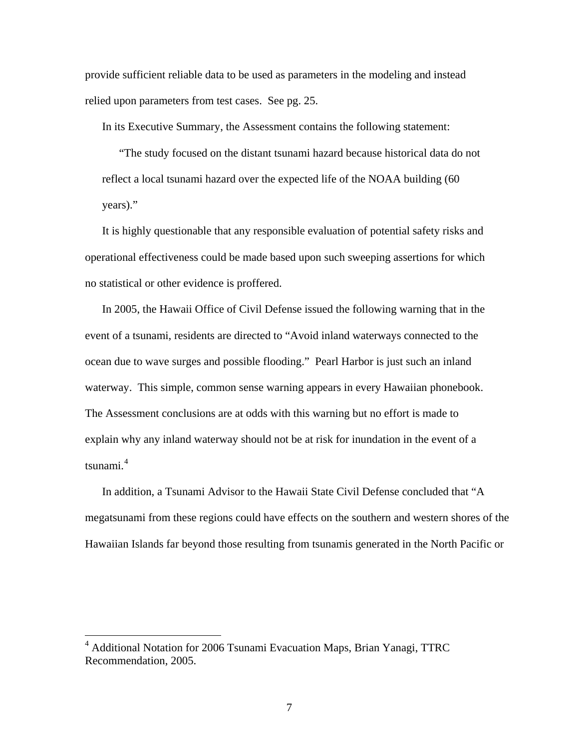provide sufficient reliable data to be used as parameters in the modeling and instead relied upon parameters from test cases. See pg. 25.

In its Executive Summary, the Assessment contains the following statement:

"The study focused on the distant tsunami hazard because historical data do not reflect a local tsunami hazard over the expected life of the NOAA building (60 years)."

It is highly questionable that any responsible evaluation of potential safety risks and operational effectiveness could be made based upon such sweeping assertions for which no statistical or other evidence is proffered.

In 2005, the Hawaii Office of Civil Defense issued the following warning that in the event of a tsunami, residents are directed to "Avoid inland waterways connected to the ocean due to wave surges and possible flooding." Pearl Harbor is just such an inland waterway. This simple, common sense warning appears in every Hawaiian phonebook. The Assessment conclusions are at odds with this warning but no effort is made to explain why any inland waterway should not be at risk for inundation in the event of a tsunami.<sup>[4](#page-6-0)</sup>

In addition, a Tsunami Advisor to the Hawaii State Civil Defense concluded that "A megatsunami from these regions could have effects on the southern and western shores of the Hawaiian Islands far beyond those resulting from tsunamis generated in the North Pacific or

 $\overline{a}$ 

<span id="page-6-0"></span><sup>&</sup>lt;sup>4</sup> Additional Notation for 2006 Tsunami Evacuation Maps, Brian Yanagi, TTRC Recommendation, 2005.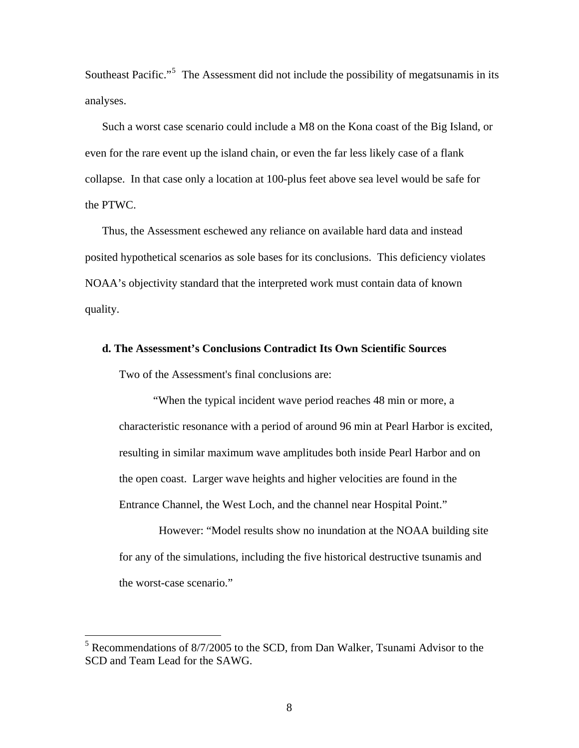Southeast Pacific."<sup>[5](#page-7-0)</sup> The Assessment did not include the possibility of megatsunamis in its analyses.

Such a worst case scenario could include a M8 on the Kona coast of the Big Island, or even for the rare event up the island chain, or even the far less likely case of a flank collapse. In that case only a location at 100-plus feet above sea level would be safe for the PTWC.

Thus, the Assessment eschewed any reliance on available hard data and instead posited hypothetical scenarios as sole bases for its conclusions. This deficiency violates NOAA's objectivity standard that the interpreted work must contain data of known quality.

## **d. The Assessment's Conclusions Contradict Its Own Scientific Sources**

Two of the Assessment's final conclusions are:

 $\overline{a}$ 

"When the typical incident wave period reaches 48 min or more, a characteristic resonance with a period of around 96 min at Pearl Harbor is excited, resulting in similar maximum wave amplitudes both inside Pearl Harbor and on the open coast. Larger wave heights and higher velocities are found in the Entrance Channel, the West Loch, and the channel near Hospital Point."

 However: "Model results show no inundation at the NOAA building site for any of the simulations, including the five historical destructive tsunamis and the worst-case scenario."

<span id="page-7-0"></span><sup>5</sup> Recommendations of 8/7/2005 to the SCD, from Dan Walker, Tsunami Advisor to the SCD and Team Lead for the SAWG.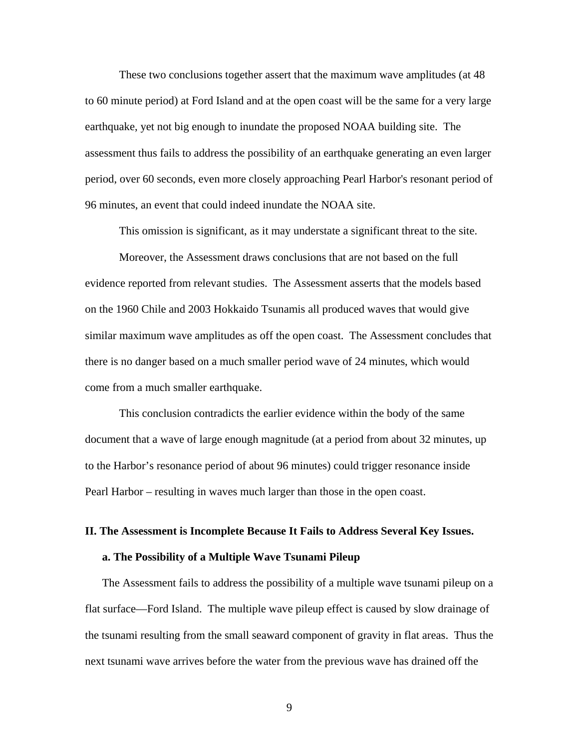These two conclusions together assert that the maximum wave amplitudes (at 48 to 60 minute period) at Ford Island and at the open coast will be the same for a very large earthquake, yet not big enough to inundate the proposed NOAA building site. The assessment thus fails to address the possibility of an earthquake generating an even larger period, over 60 seconds, even more closely approaching Pearl Harbor's resonant period of 96 minutes, an event that could indeed inundate the NOAA site.

This omission is significant, as it may understate a significant threat to the site.

Moreover, the Assessment draws conclusions that are not based on the full evidence reported from relevant studies. The Assessment asserts that the models based on the 1960 Chile and 2003 Hokkaido Tsunamis all produced waves that would give similar maximum wave amplitudes as off the open coast. The Assessment concludes that there is no danger based on a much smaller period wave of 24 minutes, which would come from a much smaller earthquake.

This conclusion contradicts the earlier evidence within the body of the same document that a wave of large enough magnitude (at a period from about 32 minutes, up to the Harbor's resonance period of about 96 minutes) could trigger resonance inside Pearl Harbor – resulting in waves much larger than those in the open coast.

#### **II. The Assessment is Incomplete Because It Fails to Address Several Key Issues.**

#### **a. The Possibility of a Multiple Wave Tsunami Pileup**

The Assessment fails to address the possibility of a multiple wave tsunami pileup on a flat surface—Ford Island. The multiple wave pileup effect is caused by slow drainage of the tsunami resulting from the small seaward component of gravity in flat areas. Thus the next tsunami wave arrives before the water from the previous wave has drained off the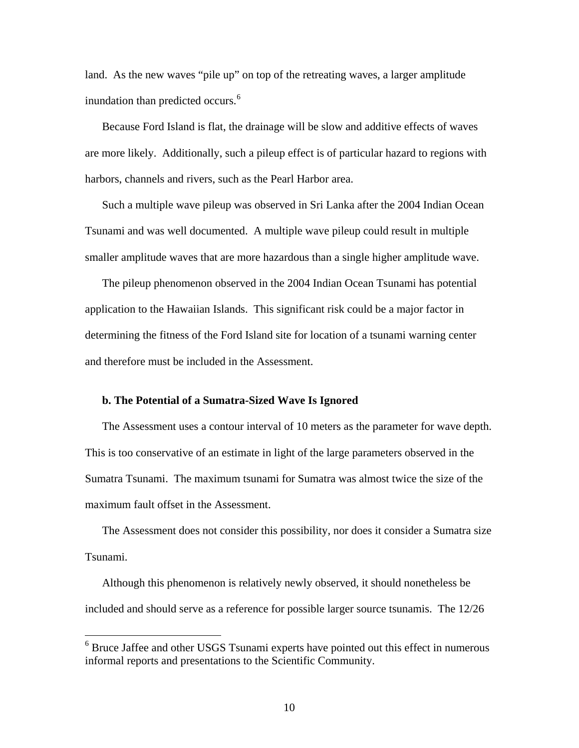land. As the new waves "pile up" on top of the retreating waves, a larger amplitude inundation than predicted occurs.<sup>[6](#page-9-0)</sup>

Because Ford Island is flat, the drainage will be slow and additive effects of waves are more likely. Additionally, such a pileup effect is of particular hazard to regions with harbors, channels and rivers, such as the Pearl Harbor area.

Such a multiple wave pileup was observed in Sri Lanka after the 2004 Indian Ocean Tsunami and was well documented. A multiple wave pileup could result in multiple smaller amplitude waves that are more hazardous than a single higher amplitude wave.

The pileup phenomenon observed in the 2004 Indian Ocean Tsunami has potential application to the Hawaiian Islands. This significant risk could be a major factor in determining the fitness of the Ford Island site for location of a tsunami warning center and therefore must be included in the Assessment.

#### **b. The Potential of a Sumatra-Sized Wave Is Ignored**

 $\overline{a}$ 

The Assessment uses a contour interval of 10 meters as the parameter for wave depth. This is too conservative of an estimate in light of the large parameters observed in the Sumatra Tsunami. The maximum tsunami for Sumatra was almost twice the size of the maximum fault offset in the Assessment.

The Assessment does not consider this possibility, nor does it consider a Sumatra size Tsunami.

Although this phenomenon is relatively newly observed, it should nonetheless be included and should serve as a reference for possible larger source tsunamis. The 12/26

<span id="page-9-0"></span><sup>&</sup>lt;sup>6</sup> Bruce Jaffee and other USGS Tsunami experts have pointed out this effect in numerous informal reports and presentations to the Scientific Community.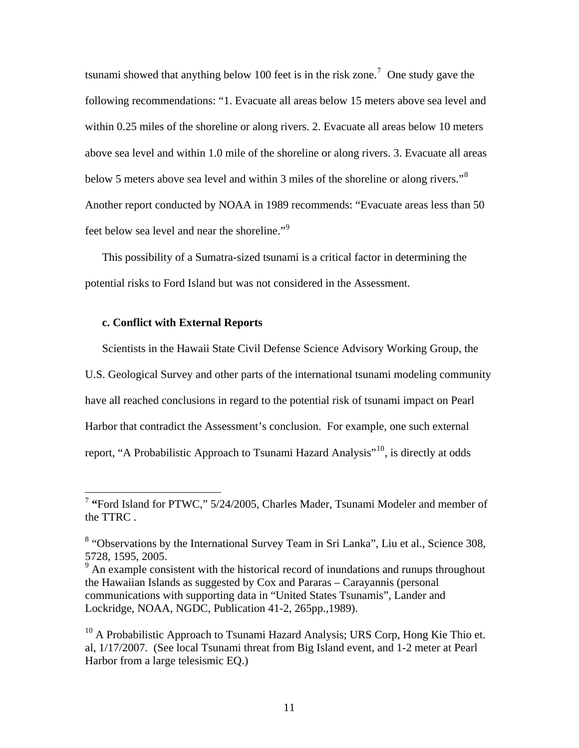tsunami showed that anything below 100 feet is in the risk zone.<sup>[7](#page-10-0)</sup> One study gave the following recommendations: "1. Evacuate all areas below 15 meters above sea level and within 0.25 miles of the shoreline or along rivers. 2. Evacuate all areas below 10 meters above sea level and within 1.0 mile of the shoreline or along rivers. 3. Evacuate all areas below 5 meters above sea level and within 3 miles of the shoreline or along rivers."<sup>[8](#page-10-1)</sup> Another report conducted by NOAA in 1989 recommends: "Evacuate areas less than 50 feet below sea level and near the shoreline."[9](#page-10-2)

This possibility of a Sumatra-sized tsunami is a critical factor in determining the potential risks to Ford Island but was not considered in the Assessment.

#### **c. Conflict with External Reports**

 $\overline{a}$ 

Scientists in the Hawaii State Civil Defense Science Advisory Working Group, the U.S. Geological Survey and other parts of the international tsunami modeling community have all reached conclusions in regard to the potential risk of tsunami impact on Pearl Harbor that contradict the Assessment's conclusion. For example, one such external report, "A Probabilistic Approach to Tsunami Hazard Analysis"[10,](#page-10-3) is directly at odds

<span id="page-10-0"></span><sup>7</sup> **"**Ford Island for PTWC," 5/24/2005, Charles Mader, Tsunami Modeler and member of the TTRC .

<span id="page-10-1"></span><sup>&</sup>lt;sup>8</sup> "Observations by the International Survey Team in Sri Lanka", Liu et al., Science 308, 5728, 1595, 2005.

<span id="page-10-2"></span> $9<sup>9</sup>$  An example consistent with the historical record of inundations and runups throughout the Hawaiian Islands as suggested by Cox and Pararas – Carayannis (personal communications with supporting data in "United States Tsunamis", Lander and Lockridge, NOAA, NGDC, Publication 41-2, 265pp.,1989).

<span id="page-10-3"></span> $10$  A Probabilistic Approach to Tsunami Hazard Analysis; URS Corp, Hong Kie Thio et. al, 1/17/2007. (See local Tsunami threat from Big Island event, and 1-2 meter at Pearl Harbor from a large telesismic EQ.)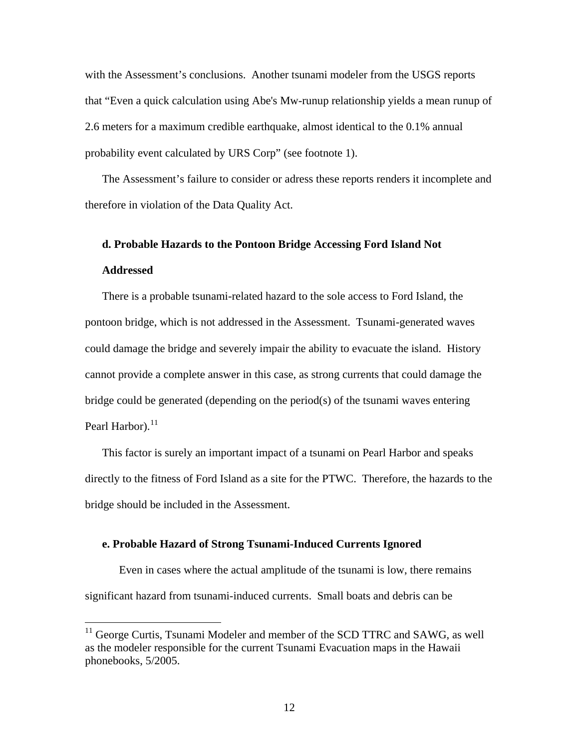with the Assessment's conclusions. Another tsunami modeler from the USGS reports that "Even a quick calculation using Abe's Mw-runup relationship yields a mean runup of 2.6 meters for a maximum credible earthquake, almost identical to the 0.1% annual probability event calculated by URS Corp" (see footnote 1).

The Assessment's failure to consider or adress these reports renders it incomplete and therefore in violation of the Data Quality Act.

# **d. Probable Hazards to the Pontoon Bridge Accessing Ford Island Not Addressed**

There is a probable tsunami-related hazard to the sole access to Ford Island, the pontoon bridge, which is not addressed in the Assessment. Tsunami-generated waves could damage the bridge and severely impair the ability to evacuate the island. History cannot provide a complete answer in this case, as strong currents that could damage the bridge could be generated (depending on the period(s) of the tsunami waves entering Pearl Harbor). $^{11}$  $^{11}$  $^{11}$ 

This factor is surely an important impact of a tsunami on Pearl Harbor and speaks directly to the fitness of Ford Island as a site for the PTWC. Therefore, the hazards to the bridge should be included in the Assessment.

#### **e. Probable Hazard of Strong Tsunami-Induced Currents Ignored**

 $\overline{a}$ 

Even in cases where the actual amplitude of the tsunami is low, there remains significant hazard from tsunami-induced currents. Small boats and debris can be

<span id="page-11-0"></span><sup>&</sup>lt;sup>11</sup> George Curtis, Tsunami Modeler and member of the SCD TTRC and SAWG, as well as the modeler responsible for the current Tsunami Evacuation maps in the Hawaii phonebooks, 5/2005.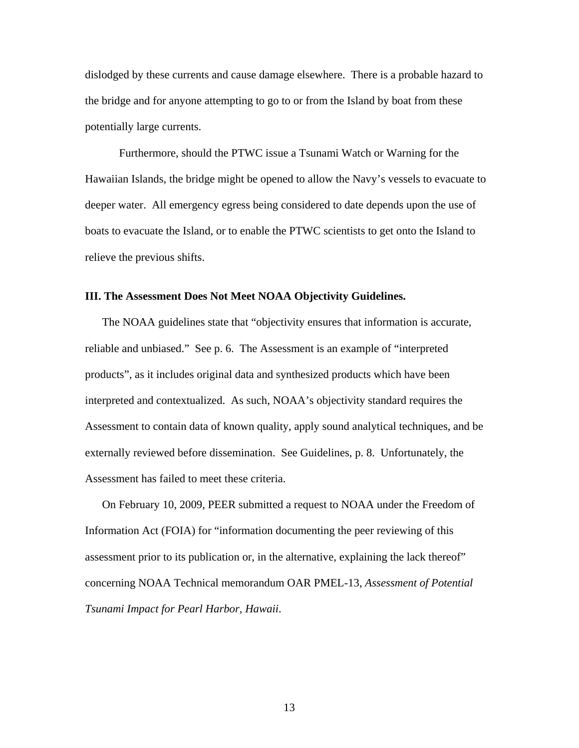dislodged by these currents and cause damage elsewhere. There is a probable hazard to the bridge and for anyone attempting to go to or from the Island by boat from these potentially large currents.

Furthermore, should the PTWC issue a Tsunami Watch or Warning for the Hawaiian Islands, the bridge might be opened to allow the Navy's vessels to evacuate to deeper water. All emergency egress being considered to date depends upon the use of boats to evacuate the Island, or to enable the PTWC scientists to get onto the Island to relieve the previous shifts.

#### **III. The Assessment Does Not Meet NOAA Objectivity Guidelines.**

The NOAA guidelines state that "objectivity ensures that information is accurate, reliable and unbiased." See p. 6. The Assessment is an example of "interpreted products", as it includes original data and synthesized products which have been interpreted and contextualized. As such, NOAA's objectivity standard requires the Assessment to contain data of known quality, apply sound analytical techniques, and be externally reviewed before dissemination. See Guidelines, p. 8. Unfortunately, the Assessment has failed to meet these criteria.

On February 10, 2009, PEER submitted a request to NOAA under the Freedom of Information Act (FOIA) for "information documenting the peer reviewing of this assessment prior to its publication or, in the alternative, explaining the lack thereof" concerning NOAA Technical memorandum OAR PMEL-13, *Assessment of Potential Tsunami Impact for Pearl Harbor, Hawaii*.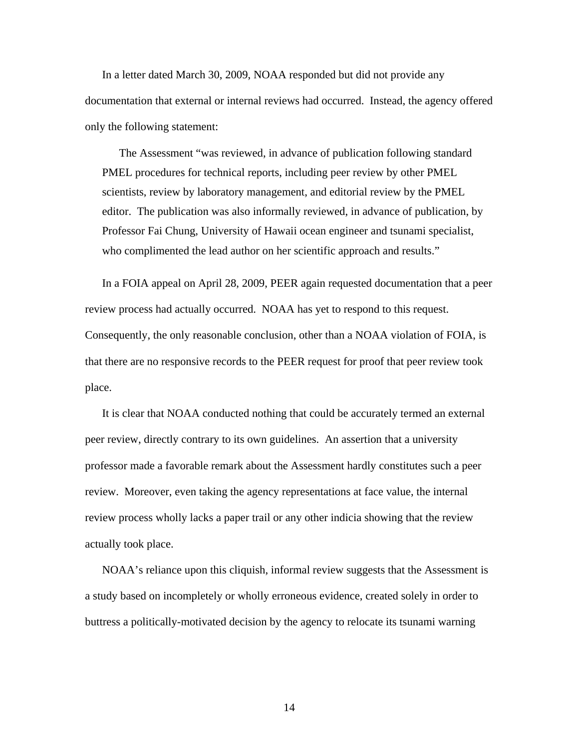In a letter dated March 30, 2009, NOAA responded but did not provide any documentation that external or internal reviews had occurred. Instead, the agency offered only the following statement:

The Assessment "was reviewed, in advance of publication following standard PMEL procedures for technical reports, including peer review by other PMEL scientists, review by laboratory management, and editorial review by the PMEL editor. The publication was also informally reviewed, in advance of publication, by Professor Fai Chung, University of Hawaii ocean engineer and tsunami specialist, who complimented the lead author on her scientific approach and results."

In a FOIA appeal on April 28, 2009, PEER again requested documentation that a peer review process had actually occurred. NOAA has yet to respond to this request. Consequently, the only reasonable conclusion, other than a NOAA violation of FOIA, is that there are no responsive records to the PEER request for proof that peer review took place.

It is clear that NOAA conducted nothing that could be accurately termed an external peer review, directly contrary to its own guidelines. An assertion that a university professor made a favorable remark about the Assessment hardly constitutes such a peer review. Moreover, even taking the agency representations at face value, the internal review process wholly lacks a paper trail or any other indicia showing that the review actually took place.

NOAA's reliance upon this cliquish, informal review suggests that the Assessment is a study based on incompletely or wholly erroneous evidence, created solely in order to buttress a politically-motivated decision by the agency to relocate its tsunami warning